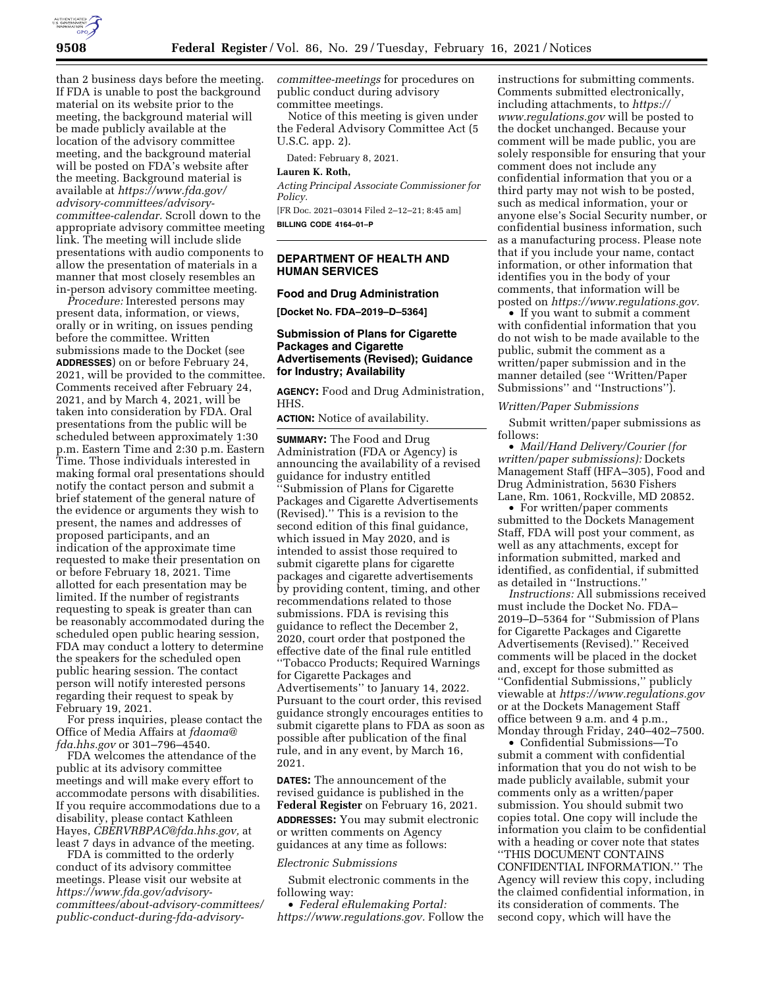

than 2 business days before the meeting. If FDA is unable to post the background material on its website prior to the meeting, the background material will be made publicly available at the location of the advisory committee meeting, and the background material will be posted on FDA's website after the meeting. Background material is available at *[https://www.fda.gov/](https://www.fda.gov/advisory-committees/advisory-committee-calendar)  [advisory-committees/advisory](https://www.fda.gov/advisory-committees/advisory-committee-calendar)[committee-calendar.](https://www.fda.gov/advisory-committees/advisory-committee-calendar)* Scroll down to the appropriate advisory committee meeting link. The meeting will include slide presentations with audio components to allow the presentation of materials in a manner that most closely resembles an in-person advisory committee meeting.

*Procedure:* Interested persons may present data, information, or views, orally or in writing, on issues pending before the committee. Written submissions made to the Docket (see **ADDRESSES**) on or before February 24, 2021, will be provided to the committee. Comments received after February 24, 2021, and by March 4, 2021, will be taken into consideration by FDA. Oral presentations from the public will be scheduled between approximately 1:30 p.m. Eastern Time and 2:30 p.m. Eastern Time. Those individuals interested in making formal oral presentations should notify the contact person and submit a brief statement of the general nature of the evidence or arguments they wish to present, the names and addresses of proposed participants, and an indication of the approximate time requested to make their presentation on or before February 18, 2021. Time allotted for each presentation may be limited. If the number of registrants requesting to speak is greater than can be reasonably accommodated during the scheduled open public hearing session, FDA may conduct a lottery to determine the speakers for the scheduled open public hearing session. The contact person will notify interested persons regarding their request to speak by February 19, 2021.

For press inquiries, please contact the Office of Media Affairs at *[fdaoma@](mailto:fdaoma@fda.hhs.gov) [fda.hhs.gov](mailto:fdaoma@fda.hhs.gov)* or 301–796–4540.

FDA welcomes the attendance of the public at its advisory committee meetings and will make every effort to accommodate persons with disabilities. If you require accommodations due to a disability, please contact Kathleen Hayes, *[CBERVRBPAC@fda.hhs.gov,](mailto:CBERVRBPAC@fda.hhs.gov)* at least 7 days in advance of the meeting.

FDA is committed to the orderly conduct of its advisory committee meetings. Please visit our website at *[https://www.fda.gov/advisory](https://www.fda.gov/advisory-committees/about-advisory-committees/public-conduct-during-fda-advisory-committee-meetings)[committees/about-advisory-committees/](https://www.fda.gov/advisory-committees/about-advisory-committees/public-conduct-during-fda-advisory-committee-meetings)  [public-conduct-during-fda-advisory-](https://www.fda.gov/advisory-committees/about-advisory-committees/public-conduct-during-fda-advisory-committee-meetings)* *[committee-meetings](https://www.fda.gov/advisory-committees/about-advisory-committees/public-conduct-during-fda-advisory-committee-meetings)* for procedures on public conduct during advisory committee meetings.

Notice of this meeting is given under the Federal Advisory Committee Act (5 U.S.C. app. 2).

Dated: February 8, 2021.

### **Lauren K. Roth,**

*Acting Principal Associate Commissioner for Policy.* 

[FR Doc. 2021–03014 Filed 2–12–21; 8:45 am] **BILLING CODE 4164–01–P** 

# **DEPARTMENT OF HEALTH AND HUMAN SERVICES**

### **Food and Drug Administration**

**[Docket No. FDA–2019–D–5364]** 

# **Submission of Plans for Cigarette Packages and Cigarette Advertisements (Revised); Guidance for Industry; Availability**

**AGENCY:** Food and Drug Administration, HHS.

**ACTION:** Notice of availability.

**SUMMARY:** The Food and Drug Administration (FDA or Agency) is announcing the availability of a revised guidance for industry entitled ''Submission of Plans for Cigarette Packages and Cigarette Advertisements (Revised).'' This is a revision to the second edition of this final guidance, which issued in May 2020, and is intended to assist those required to submit cigarette plans for cigarette packages and cigarette advertisements by providing content, timing, and other recommendations related to those submissions. FDA is revising this guidance to reflect the December 2, 2020, court order that postponed the effective date of the final rule entitled ''Tobacco Products; Required Warnings for Cigarette Packages and Advertisements'' to January 14, 2022. Pursuant to the court order, this revised guidance strongly encourages entities to submit cigarette plans to FDA as soon as possible after publication of the final rule, and in any event, by March 16, 2021.

**DATES:** The announcement of the revised guidance is published in the **Federal Register** on February 16, 2021.

**ADDRESSES:** You may submit electronic or written comments on Agency guidances at any time as follows:

### *Electronic Submissions*

Submit electronic comments in the following way:

• *Federal eRulemaking Portal: [https://www.regulations.gov.](https://www.regulations.gov)* Follow the instructions for submitting comments. Comments submitted electronically, including attachments, to *[https://](https://www.regulations.gov) [www.regulations.gov](https://www.regulations.gov)* will be posted to the docket unchanged. Because your comment will be made public, you are solely responsible for ensuring that your comment does not include any confidential information that you or a third party may not wish to be posted, such as medical information, your or anyone else's Social Security number, or confidential business information, such as a manufacturing process. Please note that if you include your name, contact information, or other information that identifies you in the body of your comments, that information will be posted on *[https://www.regulations.gov.](https://www.regulations.gov)* 

• If you want to submit a comment with confidential information that you do not wish to be made available to the public, submit the comment as a written/paper submission and in the manner detailed (see ''Written/Paper Submissions'' and ''Instructions'').

#### *Written/Paper Submissions*

Submit written/paper submissions as follows:

• *Mail/Hand Delivery/Courier (for written/paper submissions):* Dockets Management Staff (HFA–305), Food and Drug Administration, 5630 Fishers Lane, Rm. 1061, Rockville, MD 20852.

• For written/paper comments submitted to the Dockets Management Staff, FDA will post your comment, as well as any attachments, except for information submitted, marked and identified, as confidential, if submitted as detailed in ''Instructions.''

*Instructions:* All submissions received must include the Docket No. FDA– 2019–D–5364 for ''Submission of Plans for Cigarette Packages and Cigarette Advertisements (Revised).'' Received comments will be placed in the docket and, except for those submitted as ''Confidential Submissions,'' publicly viewable at *<https://www.regulations.gov>* or at the Dockets Management Staff office between 9 a.m. and 4 p.m., Monday through Friday, 240–402–7500.

• Confidential Submissions—To submit a comment with confidential information that you do not wish to be made publicly available, submit your comments only as a written/paper submission. You should submit two copies total. One copy will include the information you claim to be confidential with a heading or cover note that states ''THIS DOCUMENT CONTAINS CONFIDENTIAL INFORMATION.'' The Agency will review this copy, including the claimed confidential information, in its consideration of comments. The second copy, which will have the